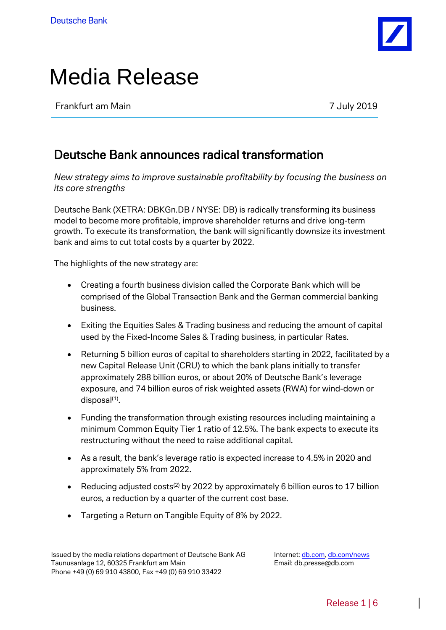

# Media Release

Frankfurt am Main **7** July 2019

## Deutsche Bank announces radical transformation

*New strategy aims to improve sustainable profitability by focusing the business on its core strengths*

Deutsche Bank (XETRA: DBKGn.DB / NYSE: DB) is radically transforming its business model to become more profitable, improve shareholder returns and drive long-term growth. To execute its transformation, the bank will significantly downsize its investment bank and aims to cut total costs by a quarter by 2022.

The highlights of the new strategy are:

- Creating a fourth business division called the Corporate Bank which will be comprised of the Global Transaction Bank and the German commercial banking business.
- Exiting the Equities Sales & Trading business and reducing the amount of capital used by the Fixed-Income Sales & Trading business, in particular Rates.
- Returning 5 billion euros of capital to shareholders starting in 2022, facilitated by a new Capital Release Unit (CRU) to which the bank plans initially to transfer approximately 288 billion euros, or about 20% of Deutsche Bank's leverage exposure, and 74 billion euros of risk weighted assets (RWA) for wind-down or disposal<sup>(1)</sup>.
- Funding the transformation through existing resources including maintaining a minimum Common Equity Tier 1 ratio of 12.5%. The bank expects to execute its restructuring without the need to raise additional capital.
- As a result, the bank's leverage ratio is expected increase to 4.5% in 2020 and approximately 5% from 2022.
- Reducing adjusted costs<sup>(2)</sup> by 2022 by approximately 6 billion euros to 17 billion euros, a reduction by a quarter of the current cost base.
- Targeting a Return on Tangible Equity of 8% by 2022.

Internet: [db.com,](https://www.db.com/) [db.com/news](https://www.db.com/newsroom) Email: db.presse@db.com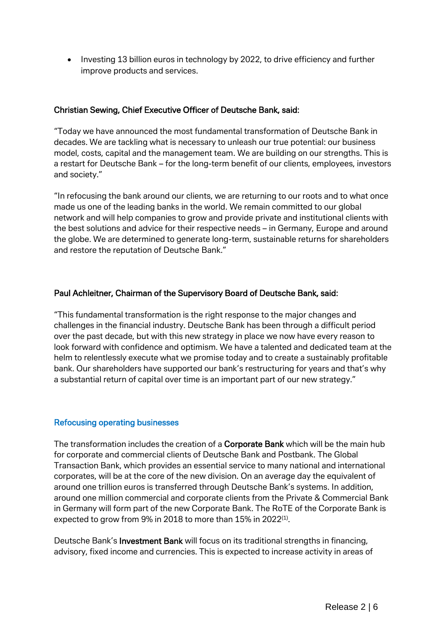• Investing 13 billion euros in technology by 2022, to drive efficiency and further improve products and services.

### Christian Sewing, Chief Executive Officer of Deutsche Bank, said:

"Today we have announced the most fundamental transformation of Deutsche Bank in decades. We are tackling what is necessary to unleash our true potential: our business model, costs, capital and the management team. We are building on our strengths. This is a restart for Deutsche Bank – for the long-term benefit of our clients, employees, investors and society."

"In refocusing the bank around our clients, we are returning to our roots and to what once made us one of the leading banks in the world. We remain committed to our global network and will help companies to grow and provide private and institutional clients with the best solutions and advice for their respective needs – in Germany, Europe and around the globe. We are determined to generate long-term, sustainable returns for shareholders and restore the reputation of Deutsche Bank."

### Paul Achleitner, Chairman of the Supervisory Board of Deutsche Bank, said:

"This fundamental transformation is the right response to the major changes and challenges in the financial industry. Deutsche Bank has been through a difficult period over the past decade, but with this new strategy in place we now have every reason to look forward with confidence and optimism. We have a talented and dedicated team at the helm to relentlessly execute what we promise today and to create a sustainably profitable bank. Our shareholders have supported our bank's restructuring for years and that's why a substantial return of capital over time is an important part of our new strategy."

#### Refocusing operating businesses

The transformation includes the creation of a **Corporate Bank** which will be the main hub for corporate and commercial clients of Deutsche Bank and Postbank. The Global Transaction Bank, which provides an essential service to many national and international corporates, will be at the core of the new division. On an average day the equivalent of around one trillion euros is transferred through Deutsche Bank's systems. In addition, around one million commercial and corporate clients from the Private & Commercial Bank in Germany will form part of the new Corporate Bank. The RoTE of the Corporate Bank is expected to grow from 9% in 2018 to more than 15% in 2022 $\scriptscriptstyle{(1)}$ .

Deutsche Bank's Investment Bank will focus on its traditional strengths in financing, advisory, fixed income and currencies. This is expected to increase activity in areas of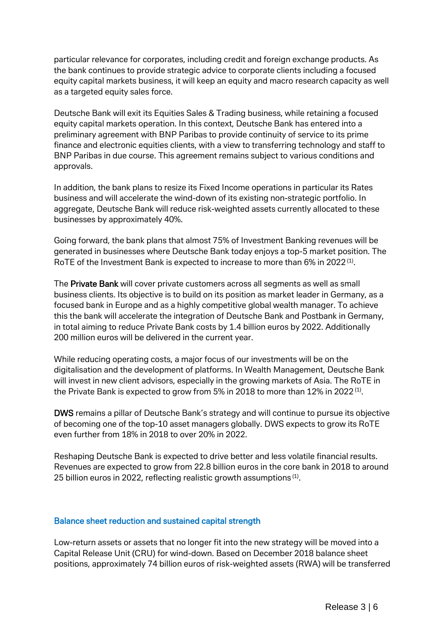particular relevance for corporates, including credit and foreign exchange products. As the bank continues to provide strategic advice to corporate clients including a focused equity capital markets business, it will keep an equity and macro research capacity as well as a targeted equity sales force.

Deutsche Bank will exit its Equities Sales & Trading business, while retaining a focused equity capital markets operation. In this context, Deutsche Bank has entered into a preliminary agreement with BNP Paribas to provide continuity of service to its prime finance and electronic equities clients, with a view to transferring technology and staff to BNP Paribas in due course. This agreement remains subject to various conditions and approvals.

In addition, the bank plans to resize its Fixed Income operations in particular its Rates business and will accelerate the wind-down of its existing non-strategic portfolio. In aggregate, Deutsche Bank will reduce risk-weighted assets currently allocated to these businesses by approximately 40%.

Going forward, the bank plans that almost 75% of Investment Banking revenues will be generated in businesses where Deutsche Bank today enjoys a top-5 market position. The RoTE of the Investment Bank is expected to increase to more than 6% in 2022<sup>(1)</sup>.

The Private Bank will cover private customers across all segments as well as small business clients. Its objective is to build on its position as market leader in Germany, as a focused bank in Europe and as a highly competitive global wealth manager. To achieve this the bank will accelerate the integration of Deutsche Bank and Postbank in Germany, in total aiming to reduce Private Bank costs by 1.4 billion euros by 2022. Additionally 200 million euros will be delivered in the current year.

While reducing operating costs, a major focus of our investments will be on the digitalisation and the development of platforms. In Wealth Management, Deutsche Bank will invest in new client advisors, especially in the growing markets of Asia. The RoTE in the Private Bank is expected to grow from 5% in 2018 to more than 12% in 2022  $^{\text{\tiny{(1)}}}.$ 

DWS remains a pillar of Deutsche Bank's strategy and will continue to pursue its objective of becoming one of the top-10 asset managers globally. DWS expects to grow its RoTE even further from 18% in 2018 to over 20% in 2022.

Reshaping Deutsche Bank is expected to drive better and less volatile financial results. Revenues are expected to grow from 22.8 billion euros in the core bank in 2018 to around 25 billion euros in 2022, reflecting realistic growth assumptions<sup>(1)</sup>.

#### Balance sheet reduction and sustained capital strength

Low-return assets or assets that no longer fit into the new strategy will be moved into a Capital Release Unit (CRU) for wind-down. Based on December 2018 balance sheet positions, approximately 74 billion euros of risk-weighted assets (RWA) will be transferred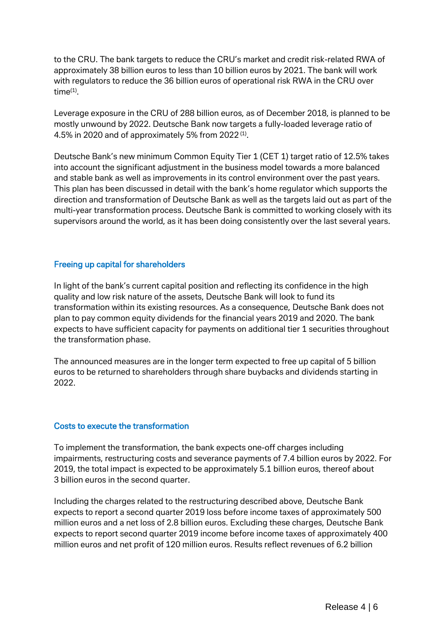to the CRU. The bank targets to reduce the CRU's market and credit risk-related RWA of approximately 38 billion euros to less than 10 billion euros by 2021. The bank will work with regulators to reduce the 36 billion euros of operational risk RWA in the CRU over time(1) .

Leverage exposure in the CRU of 288 billion euros, as of December 2018, is planned to be mostly unwound by 2022. Deutsche Bank now targets a fully-loaded leverage ratio of 4.5% in 2020 and of approximately 5% from 2022 $(1)$ .

Deutsche Bank's new minimum Common Equity Tier 1 (CET 1) target ratio of 12.5% takes into account the significant adjustment in the business model towards a more balanced and stable bank as well as improvements in its control environment over the past years. This plan has been discussed in detail with the bank's home regulator which supports the direction and transformation of Deutsche Bank as well as the targets laid out as part of the multi-year transformation process. Deutsche Bank is committed to working closely with its supervisors around the world, as it has been doing consistently over the last several years.

#### Freeing up capital for shareholders

In light of the bank's current capital position and reflecting its confidence in the high quality and low risk nature of the assets, Deutsche Bank will look to fund its transformation within its existing resources. As a consequence, Deutsche Bank does not plan to pay common equity dividends for the financial years 2019 and 2020. The bank expects to have sufficient capacity for payments on additional tier 1 securities throughout the transformation phase.

The announced measures are in the longer term expected to free up capital of 5 billion euros to be returned to shareholders through share buybacks and dividends starting in 2022.

#### Costs to execute the transformation

To implement the transformation, the bank expects one-off charges including impairments, restructuring costs and severance payments of 7.4 billion euros by 2022. For 2019, the total impact is expected to be approximately 5.1 billion euros, thereof about 3 billion euros in the second quarter.

Including the charges related to the restructuring described above, Deutsche Bank expects to report a second quarter 2019 loss before income taxes of approximately 500 million euros and a net loss of 2.8 billion euros. Excluding these charges, Deutsche Bank expects to report second quarter 2019 income before income taxes of approximately 400 million euros and net profit of 120 million euros. Results reflect revenues of 6.2 billion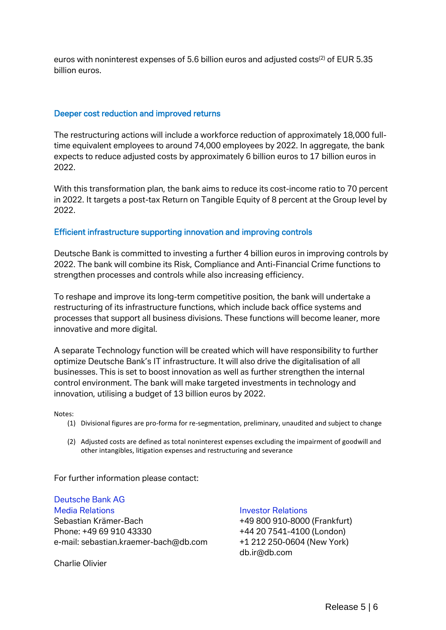euros with noninterest expenses of 5.6 billion euros and adjusted costs<sup>(2)</sup> of EUR 5.35 billion euros.

#### Deeper cost reduction and improved returns

The restructuring actions will include a workforce reduction of approximately 18,000 fulltime equivalent employees to around 74,000 employees by 2022. In aggregate, the bank expects to reduce adjusted costs by approximately 6 billion euros to 17 billion euros in 2022.

With this transformation plan, the bank aims to reduce its cost-income ratio to 70 percent in 2022. It targets a post-tax Return on Tangible Equity of 8 percent at the Group level by 2022.

#### Efficient infrastructure supporting innovation and improving controls

Deutsche Bank is committed to investing a further 4 billion euros in improving controls by 2022. The bank will combine its Risk, Compliance and Anti-Financial Crime functions to strengthen processes and controls while also increasing efficiency.

To reshape and improve its long-term competitive position, the bank will undertake a restructuring of its infrastructure functions, which include back office systems and processes that support all business divisions. These functions will become leaner, more innovative and more digital.

A separate Technology function will be created which will have responsibility to further optimize Deutsche Bank's IT infrastructure. It will also drive the digitalisation of all businesses. This is set to boost innovation as well as further strengthen the internal control environment. The bank will make targeted investments in technology and innovation, utilising a budget of 13 billion euros by 2022.

Notes:

- (1) Divisional figures are pro-forma for re-segmentation, preliminary, unaudited and subject to change
- (2) Adjusted costs are defined as total noninterest expenses excluding the impairment of goodwill and other intangibles, litigation expenses and restructuring and severance

For further information please contact:

Deutsche Bank AG Media Relations Investor Relations Sebastian Krämer-Bach +49 800 910-8000 (Frankfurt) Phone: +49 69 910 43330 +44 20 7541-4100 (London) e-mail: [sebastian.kraemer-bach@db.com](mailto:ebastian.kraemer-bach@db.com) +1 212 250-0604 (New York)

Charlie Olivier

db.ir@db.com